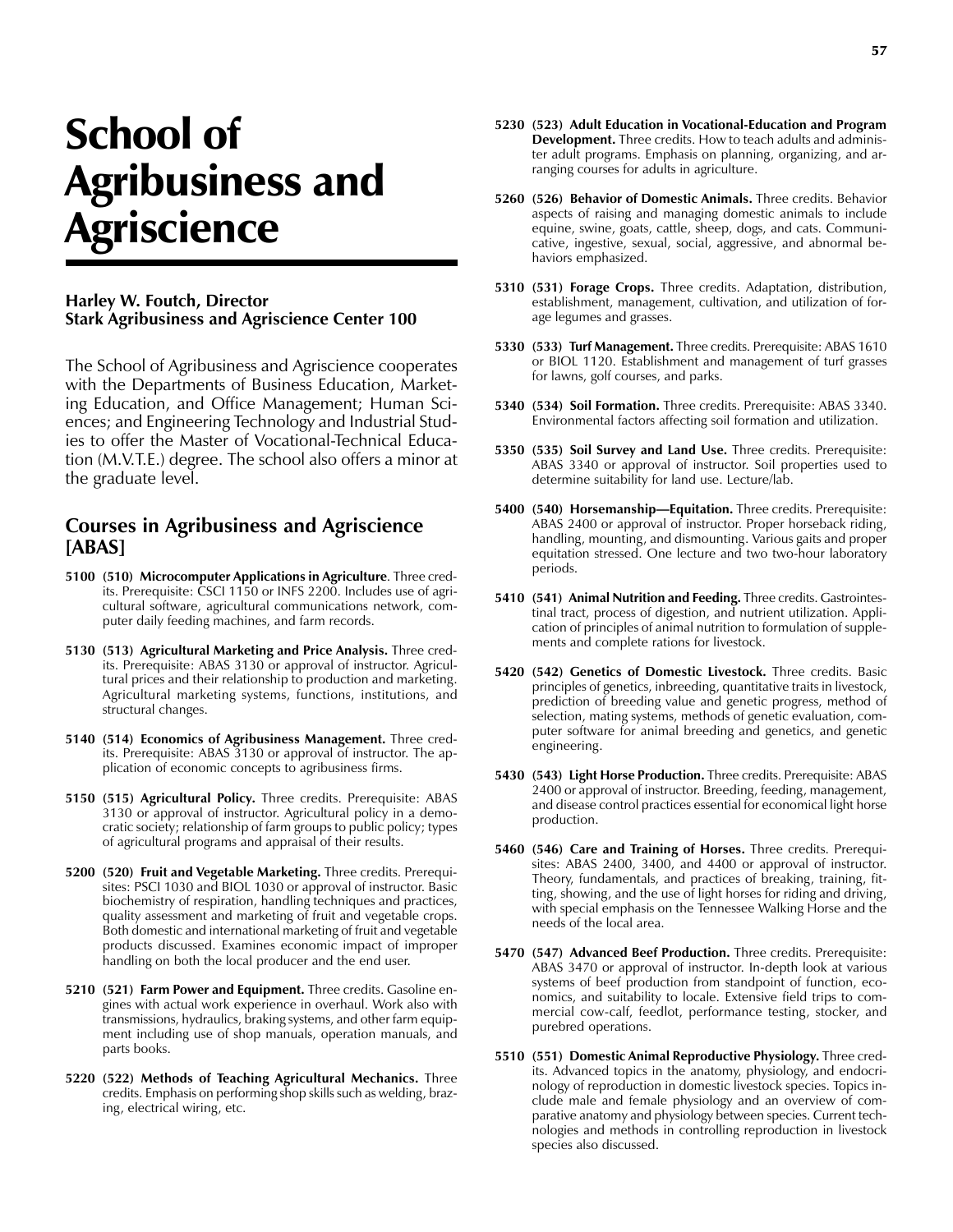## School of Agribusiness and **Agriscience**

## **Harley W. Foutch, Director Stark Agribusiness and Agriscience Center 100**

The School of Agribusiness and Agriscience cooperates with the Departments of Business Education, Marketing Education, and Office Management; Human Sciences; and Engineering Technology and Industrial Studies to offer the Master of Vocational-Technical Education (M.V.T.E.) degree. The school also offers a minor at the graduate level.

## **Courses in Agribusiness and Agriscience [ABAS]**

- **5100 (510) Microcomputer Applications in Agriculture**. Three credits. Prerequisite: CSCI 1150 or INFS 2200. Includes use of agricultural software, agricultural communications network, computer daily feeding machines, and farm records.
- **5130 (513) Agricultural Marketing and Price Analysis.** Three credits. Prerequisite: ABAS 3130 or approval of instructor. Agricultural prices and their relationship to production and marketing. Agricultural marketing systems, functions, institutions, and structural changes.
- **5140 (514) Economics of Agribusiness Management.** Three credits. Prerequisite: ABAS 3130 or approval of instructor. The application of economic concepts to agribusiness firms.
- **5150 (515) Agricultural Policy.** Three credits. Prerequisite: ABAS 3130 or approval of instructor. Agricultural policy in a democratic society; relationship of farm groups to public policy; types of agricultural programs and appraisal of their results.
- **5200 (520) Fruit and Vegetable Marketing.** Three credits. Prerequisites: PSCI 1030 and BIOL 1030 or approval of instructor. Basic biochemistry of respiration, handling techniques and practices, quality assessment and marketing of fruit and vegetable crops. Both domestic and international marketing of fruit and vegetable products discussed. Examines economic impact of improper handling on both the local producer and the end user.
- **5210 (521) Farm Power and Equipment.** Three credits. Gasoline engines with actual work experience in overhaul. Work also with transmissions, hydraulics, braking systems, and other farm equipment including use of shop manuals, operation manuals, and parts books.
- **5220 (522) Methods of Teaching Agricultural Mechanics.** Three credits. Emphasis on performing shop skills such as welding, brazing, electrical wiring, etc.
- **5230 (523) Adult Education in Vocational-Education and Program Development.** Three credits. How to teach adults and administer adult programs. Emphasis on planning, organizing, and arranging courses for adults in agriculture.
- **5260 (526) Behavior of Domestic Animals.** Three credits. Behavior aspects of raising and managing domestic animals to include equine, swine, goats, cattle, sheep, dogs, and cats. Communicative, ingestive, sexual, social, aggressive, and abnormal behaviors emphasized.
- **5310 (531) Forage Crops.** Three credits. Adaptation, distribution, establishment, management, cultivation, and utilization of forage legumes and grasses.
- **5330 (533) Turf Management.** Three credits. Prerequisite: ABAS 1610 or BIOL 1120. Establishment and management of turf grasses for lawns, golf courses, and parks.
- **5340 (534) Soil Formation.** Three credits. Prerequisite: ABAS 3340. Environmental factors affecting soil formation and utilization.
- **5350 (535) Soil Survey and Land Use.** Three credits. Prerequisite: ABAS 3340 or approval of instructor. Soil properties used to determine suitability for land use. Lecture/lab.
- **5400 (540) Horsemanship—Equitation.** Three credits. Prerequisite: ABAS 2400 or approval of instructor. Proper horseback riding, handling, mounting, and dismounting. Various gaits and proper equitation stressed. One lecture and two two-hour laboratory periods.
- **5410 (541) Animal Nutrition and Feeding.** Three credits. Gastrointestinal tract, process of digestion, and nutrient utilization. Application of principles of animal nutrition to formulation of supplements and complete rations for livestock.
- **5420 (542) Genetics of Domestic Livestock.** Three credits. Basic principles of genetics, inbreeding, quantitative traits in livestock, prediction of breeding value and genetic progress, method of selection, mating systems, methods of genetic evaluation, computer software for animal breeding and genetics, and genetic engineering.
- **5430 (543) Light Horse Production.** Three credits. Prerequisite: ABAS 2400 or approval of instructor. Breeding, feeding, management, and disease control practices essential for economical light horse production.
- **5460 (546) Care and Training of Horses.** Three credits. Prerequisites: ABAS 2400, 3400, and 4400 or approval of instructor. Theory, fundamentals, and practices of breaking, training, fitting, showing, and the use of light horses for riding and driving, with special emphasis on the Tennessee Walking Horse and the needs of the local area.
- **5470 (547) Advanced Beef Production.** Three credits. Prerequisite: ABAS 3470 or approval of instructor. In-depth look at various systems of beef production from standpoint of function, economics, and suitability to locale. Extensive field trips to commercial cow-calf, feedlot, performance testing, stocker, and purebred operations.
- **5510 (551) Domestic Animal Reproductive Physiology.** Three credits. Advanced topics in the anatomy, physiology, and endocrinology of reproduction in domestic livestock species. Topics include male and female physiology and an overview of comparative anatomy and physiology between species. Current technologies and methods in controlling reproduction in livestock species also discussed.